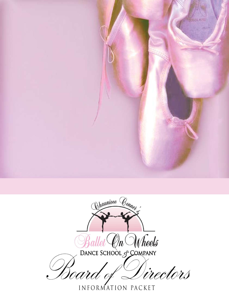

Chauniece Conney Ballet On Wheels f<br>Toara riectors

INFORMATION PACKET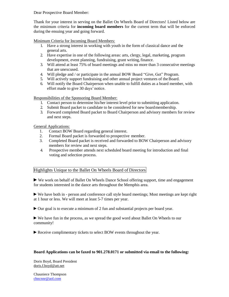Dear Prospective Board Member:

Thank for your interest in serving on the Ballet On Wheels Board of Directors! Listed below are the minimum criteria for **incoming board members** for the current term that will be enforced during the ensuing year and going forward.

Minimum Criteria for Incoming Board Members:

- 1. Have a strong interest in working with youth in the form of classical dance and the general arts.
- 2. Have expertise in one of the following areas: arts, clergy, legal, marketing, program development, event planning, fundraising, grant writing, finance.
- 3. Will attend at least 75% of board meetings and miss no more than 3 consecutive meetings that are unexcused.
- 4. Will pledge and / or participate in the annual BOW Board "Give, Get" Program.
- 5. Will actively support fundraising and other annual project ventures of the Board.
- 6. Will notify the Board Chairperson when unable to fulfill duties as a board member, with effort made to give 30 days' notice.

Responsibilities of the Sponsoring Board Member:

- 1. Contact person to determine his/her interest level prior to submitting application.
- 2. Submit Board packet to candidate to be considered for new boardmembership.
- 3. Forward completed Board packet to Board Chairperson and advisory members for review and next steps.

General Applications:

- 1. Contact BOW Board regarding general interest.
- 2. Formal Board packet is forwarded to prospective member.
- 3. Completed Board packet is received and forwarded to BOW Chairperson and advisory members for review and next steps.
- 4. Prospective member attends next scheduled board meeting for introduction and final voting and selection process.

## Highlights Unique to the Ballet On Wheels Board of Directors

►We work on behalf of Ballet On Wheels Dance School offering support, time and engagement for students interested in the dance arts throughout the Memphis area.

►We have both in - person and conference call style board meetings; Most meetings are kept right at 1 hour or less. We will meet at least 5-7 times per year.

►Our goal is to execute a minimum of 2 fun and substantial projects per board year.

►We have fun in the process, as we spread the good word about Ballet On Wheels to our community!

►Receive complimentary tickets to select BOW events throughout the year.

## **Board Applications can be faxed to 901.278.0171 or submitted via email to the following:**

Doris Boyd, Board President [doris.f.boyd@att.net](mailto:doris.f.boyd@att.net)

Chauniece Thompson [chncnnr@aol.com](mailto:chncnnr@aol.com)